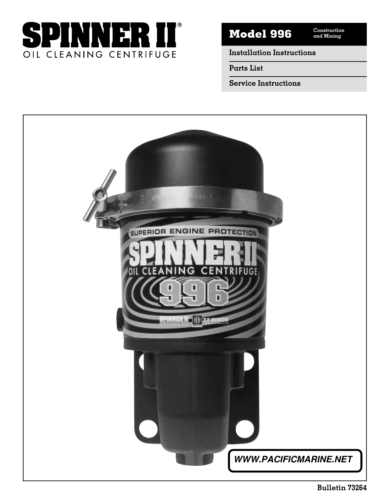

**Construction Model 996 and Mining**

**Installation Instructions**

**Parts List**

**Service Instructions**

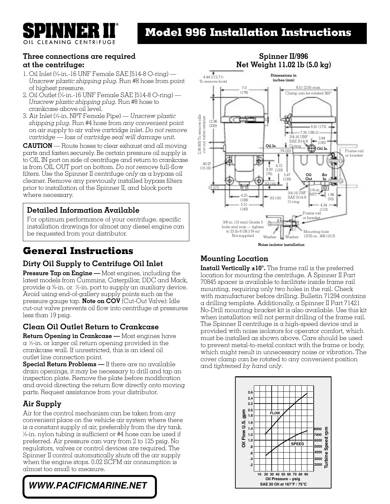CLEANING CENTRIFUGE

# **Model 996 Installation Instructions**

# **Three connections are required**

### **at the centrifuge:**

- 1. Oil Inlet (<sup>3</sup> ⁄4-in.-16 UNF Female SAE J514-8 O-ring) *Unscrew plastic shipping plug.* Run #8 hose from point of highest pressure.
- 2. Oil Outlet (<sup>3</sup> ⁄4-in.-16 UNF Female SAE J514-8 O-ring) *Unscrew plastic shipping plug.* Run #8 hose to crankcase above oil level.
- 3. Air Inlet (<sup>1</sup> ⁄4-in. NPT Female Pipe) *Unscrew plastic shipping plug.* Run #4 hose from any convenient point on air supply to air valve cartridge inlet. *Do not remove cartridge — loss of cartridge seal will damage unit.*

**CAUTION** — Route hoses to clear exhaust and all moving parts and fasten securely. Be certain pressure oil supply is to OIL IN port on side of centrifuge and return to crankcase is from OIL OUT port on bottom. *Do not remove* full-flow filters. Use the Spinner II centrifuge *only* as a bypass oil cleaner. Remove any previously installed bypass filters prior to installation of the Spinner II, and block ports where necessary.

### **Detailed Information Available**

For optimum performance of your centrifuge, specific installation drawings for almost any diesel engine can be requested from your distributor.

# **General Instructions**

### **Dirty Oil Supply to Centrifuge Oil Inlet**

**Pressure Tap on Engine —** Most engines, including the latest models from Cummins, Caterpillar, DDC and Mack, provide a %-in. or  $\frac{1}{2}$ -in. port to supply an auxiliary device. Avoid using end-of-gallery supply points such as the pressure gauge tap. **Note on COV** (Cut-Out Valve): Idle cut-out valve prevents oil flow into centrifuge at pressures less than 19 psig.

### **Clean Oil Outlet Return to Crankcase**

**Return Opening in Crankcase —** Most engines have a <sup>1</sup> ⁄2-in. or larger oil return opening provided in the crankcase wall. If unrestricted, this is an ideal oil outlet line connection point.

**Special Return Problems —** If there are no available drain openings, it may be necessary to drill and tap an inspection plate. Remove the plate before modification and avoid directing the return flow directly onto moving parts. Request assistance from your distributor.

### **Air Supply**

Air for the control mechanism can be taken from any convenient place on the vehicle air system where there is a constant supply of air, preferably from the dry tank. 1 ⁄8-in. nylon tubing is sufficient or #4 hose can be used if preferred. Air pressure can vary from 2 to 125 psig. No regulators, valves or control devices are required. The Spinner II control automatically shuts off the air supply when the engine stops. 0.02 SCFM air consumption is almost too small to measure.





### **Mounting Location**

**Install Vertically ±10°.** The frame rail is the preferred location for mounting the centrifuge. A Spinner II Part 70845 spacer is available to facilitate inside frame rail mounting, requiring only two holes in the rail. Check with manufacturer before drilling. Bulletin 71294 contains a drilling template. Additionally, a Spinner II Part 71421 No-Drill mounting bracket kit is also available. Use this kit when installation will not permit drilling of the frame rail. The Spinner II centrifuge is a high-speed device and is provided with noise isolators for operator comfort, which must be installed as shown above. Care should be used to prevent metal-to-metal contact with the frame or body, which might result in unnecessary noise or vibration. The cover clamp can be rotated to any convenient position and *tightened by hand only*.



#### **Spinner II/996 Net Weight 11.02 lb (5.0 kg)**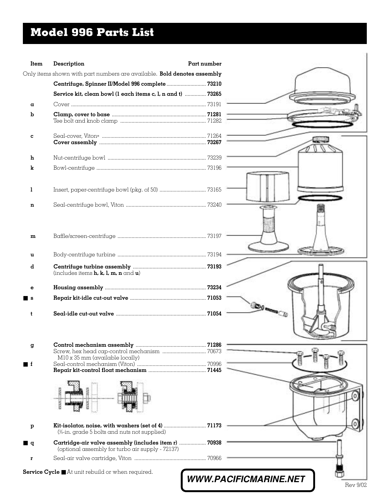# **Model 996 Parts List**

| Item             | Description                                                                                               | Part number                  |          |
|------------------|-----------------------------------------------------------------------------------------------------------|------------------------------|----------|
|                  | Only items shown with part numbers are available. Bold denotes assembly                                   |                              |          |
|                  | Centrifuge, Spinner II/Model 996 complete  73210                                                          |                              |          |
|                  | Service kit, clean bowl (1 each items c, 1, n and t)  73265                                               |                              |          |
| α                |                                                                                                           |                              |          |
| b                |                                                                                                           |                              |          |
| c                |                                                                                                           |                              |          |
| h                |                                                                                                           |                              |          |
| k                |                                                                                                           |                              |          |
| 1                |                                                                                                           |                              |          |
| n                |                                                                                                           | CRUID)                       |          |
| m                |                                                                                                           |                              |          |
| u                |                                                                                                           |                              |          |
| d                | (includes items $h, k, l, m, n$ and $u$ )                                                                 |                              |          |
| е                |                                                                                                           |                              |          |
| l s              |                                                                                                           |                              |          |
| t                |                                                                                                           | <b>DIE CU</b>                |          |
| g                |                                                                                                           |                              |          |
|                  | M10 x 35 mm (available locally)                                                                           |                              |          |
| $\blacksquare$ f |                                                                                                           |                              |          |
|                  |                                                                                                           |                              |          |
|                  |                                                                                                           |                              |          |
| $\, {\bf p}$     | (%-in. grade 5 bolts and nuts not supplied)                                                               |                              |          |
| ∎ q              | Cartridge-air valve assembly (includes item r)  70938<br>(optional assembly for turbo air supply - 72137) |                              |          |
| r                |                                                                                                           |                              |          |
|                  | Service Cycle At unit rebuild or when required.                                                           | <b>WWW.PACIFICMARINE.NET</b> | Rev 9/02 |